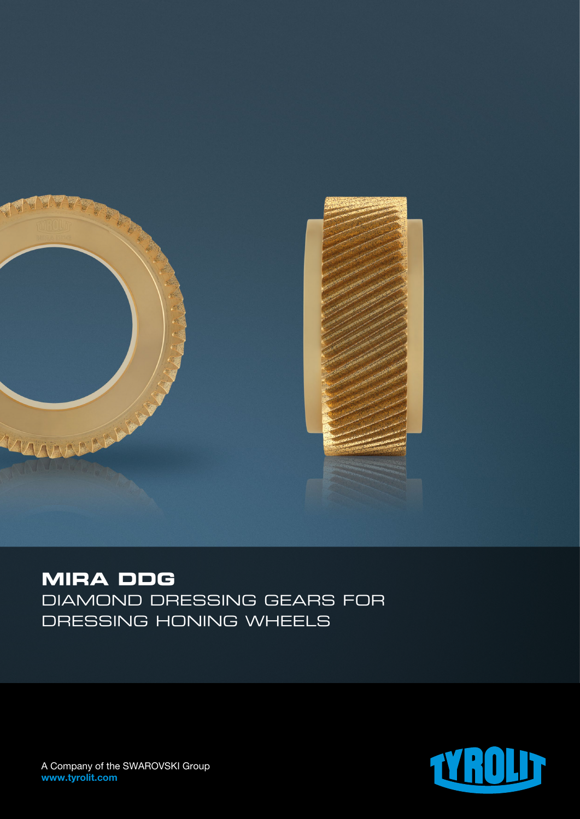

## **MIRA DDG**

Diamond dressing gears for dressing honing wheels



A Company of the SWAROVSKI Group www.tyrolit.com